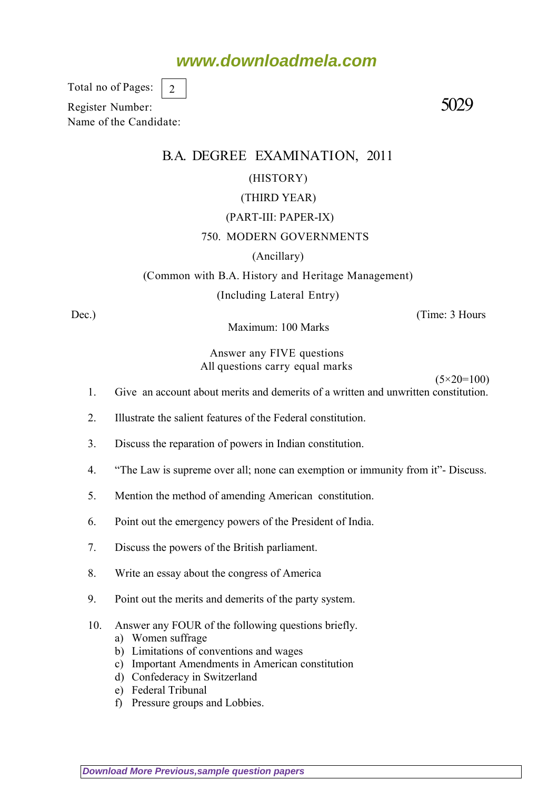### **www.downloadmela.com**

Total no of Pages: 2

Register Number: 5029 Name of the Candidate:

### B.A. DEGREE EXAMINATION, 2011

#### (HISTORY)

#### (THIRD YEAR)

#### (PART-III: PAPER-IX)

#### 750. MODERN GOVERNMENTS

#### (Ancillary)

#### (Common with B.A. History and Heritage Management)

(Including Lateral Entry)

Dec.) (Time: 3 Hours

Maximum: 100 Marks

#### Answer any FIVE questions All questions carry equal marks

 $(5 \times 20 = 100)$ 

- 1. Give an account about merits and demerits of a written and unwritten constitution.
- 2. Illustrate the salient features of the Federal constitution.
- 3. Discuss the reparation of powers in Indian constitution.
- 4. "The Law is supreme over all; none can exemption or immunity from it"- Discuss.
- 5. Mention the method of amending American constitution.
- 6. Point out the emergency powers of the President of India.
- 7. Discuss the powers of the British parliament.
- 8. Write an essay about the congress of America
- 9. Point out the merits and demerits of the party system.
- 10. Answer any FOUR of the following questions briefly.
	- a) Women suffrage
	- b) Limitations of conventions and wages
	- c) Important Amendments in American constitution
	- d) Confederacy in Switzerland
	- e) Federal Tribunal
	- f) Pressure groups and Lobbies.

**[Download More Previous,sample question papers](http://downloadmela.com/pages/previouspapers/previouspapers.html)**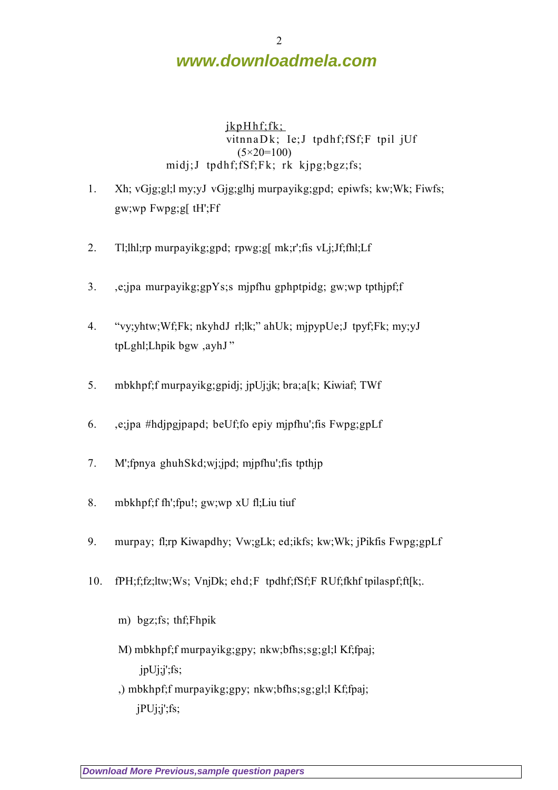# **www.downloadmela.com**

jkpHhf;fk; vitnnaDk; Ie;J tpdhf;fSf;F tpil jUf (5*×20=100)* midj;J tpdhf;fSf;Fk; rk kjpg;bgz;fs;

- 1. Xh; vGjg;gl;l my;yJ vGjg;glhj murpayikg;gpd; epiwfs; kw;Wk; Fiwfs; gw;wp Fwpg;g[ tH';Ff
- 2. Tl;lhl;rp murpayikg;gpd; rpwg;g[ mk;r';fis vLj;Jf;fhl;Lf
- 3. ,e;jpa murpayikg;gpYs;s mjpfhu gphptpidg; gw;wp tpthjpf;f
- 4. "vy;yhtw;Wf;Fk; nkyhdJ rl;lk;" ahUk; mjpypUe;J tpyf;Fk; my;yJ tpLghl;Lhpik bgw ,ayhJ "
- 5. mbkhpf;f murpayikg;gpidj; jpUj;jk; bra;a[k; Kiwiaf; TWf
- 6. ,e;jpa #hdjpgjpapd; beUf;fo epiy mjpfhu';fis Fwpg;gpLf
- 7. M';fpnya ghuhSkd;wj;jpd; mjpfhu';fis tpthjp
- 8. mbkhpf;f fh';fpu!; gw;wp xU fl;Liu tiuf
- 9. murpay; fl;rp Kiwapdhy; Vw;gLk; ed;ikfs; kw;Wk; jPikfis Fwpg;gpLf
- 10. fPH;f;fz;ltw;Ws; VnjDk; ehd;F tpdhf;fSf;F RUf;fkhf tpilaspf;ft[k;.
	- m) bgz;fs; thf;Fhpik
	- M) mbkhpf;f murpayikg;gpy; nkw;bfhs;sg;gl;l Kf;fpaj; jpUj;j';fs;
	- ,) mbkhpf;f murpayikg;gpy; nkw;bfhs;sg;gl;l Kf;fpaj;  $jPUj;j';fs;$